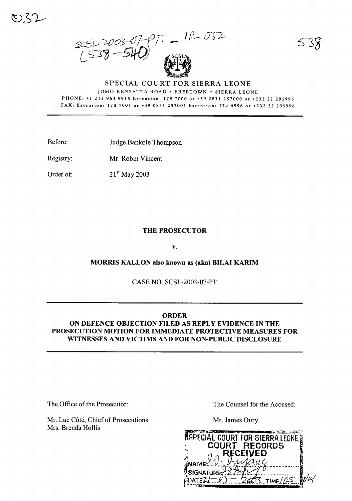$= 10 - 032$  $2003 - 07 - 19$ <br> $(538 - 540)$ 

## SPECIAL COURT FOR SIERRA LEONE JOMO KENYATTA ROAD . FREETOWN . SIERRA LEONE PHONE: +1 212 963 9915 Extension: 178 7000 or +39 0831 257000 or +232 22 295995 FAX: Extension: 178 7001 or +39 0831 257001 Extension: 174 6996 or +232 22 295996

Before: Judge Bankole Thompson

Registry: Mr. Robin Vincent

Order of:  $21^{st}$  May 2003

## **THE PROSECUTOR**

v.

**MORRIS KALLON also known as (aka) BILAI KARIM** 

CASE NO. SCSL-2003-07-PT

## **ORDER**

ON DEFENCE OBJECTION FILED AS REPLY EVIDENCE IN THE PROSECUTION MOTION FOR IMMEDIATE PROTECTIVE MEASURES FOR WITNESSES AND VICTIMS AND FOR NON-PUBLIC DISCLOSURE

The Office of the Prosecutor:

Mr. Luc Côté, Chief of Prosecutions Mrs. Brenda Hollis

The Counsel for the Accused:

Mr. James Oury

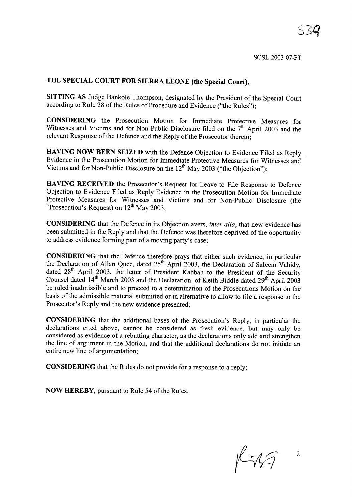## THE SPECIAL COURT FOR SIERRA LEONE (the Special Court),

SITTING AS Judge Bankole Thompson, designated by the President of the Special Court according to Rule 28 of the Rules of Procedure and Evidence ("the Rules");

CONSIDERING the Prosecution Motion for Immediate Protective Measures for Witnesses and Victims and for Non-Public Disclosure filed on the  $7<sup>th</sup>$  April 2003 and the relevant Response of the Defence and the Reply of the Prosecutor thereto;

HAVING NOW BEEN SEIZED with the Defence Objection to Evidence Filed as Reply Evidence in the Prosecution Motion for Immediate Protective Measures for Witnesses and Victims and for Non-Public Disclosure on the  $12<sup>th</sup>$  May 2003 ("the Objection");

HAVING RECEIVED the Prosecutor's Request for Leave to File Response to Defence Objection to Evidence Filed as Reply Evidence in the Prosecution Motion for Immediate Protective Measures for Witnesses and Victims and for Non-Public Disclosure (the "Prosecution's Request) on  $12^{th}$  May 2003;

CONSIDERING that the Defence in its Objection avers, *inter alia,* that new evidence has been submitted in the Reply and that the Defence was therefore deprived of the opportunity to address evidence forming part of a moving party's case;

CONSIDERING that the Defence therefore prays that either such evidence, in particular the Declaration of Allan Quee, dated  $25<sup>th</sup>$  April 2003, the Declaration of Saleem Vahidy, dated 28<sup>th</sup> April 2003, the letter of President Kabbah to the President of the Security Counsel dated 14<sup>th</sup> March 2003 and the Declaration of Keith Biddle dated 29<sup>th</sup> April 2003 be ruled inadmissible and to proceed to a determination of the Prosecutions Motion on the basis of the admissible material submitted or in alternative to allow to file a response to the Prosecutor's Reply and the new evidence presented;

CONSIDERING that the additional bases of the Prosecution's Reply, in particular the declarations cited above, cannot be considered as fresh evidence, but may only be considered as evidence of a rebutting character, as the declarations only add and strengthen the line of argument in the Motion, and that the additional declarations do not initiate an entire new line of argumentation;

CONSIDERING that the Rules do not provide for a response to a reply;

NOW HEREBY, pursuant to Rule 54 of the Rules,

 $K\sqrt{3}$